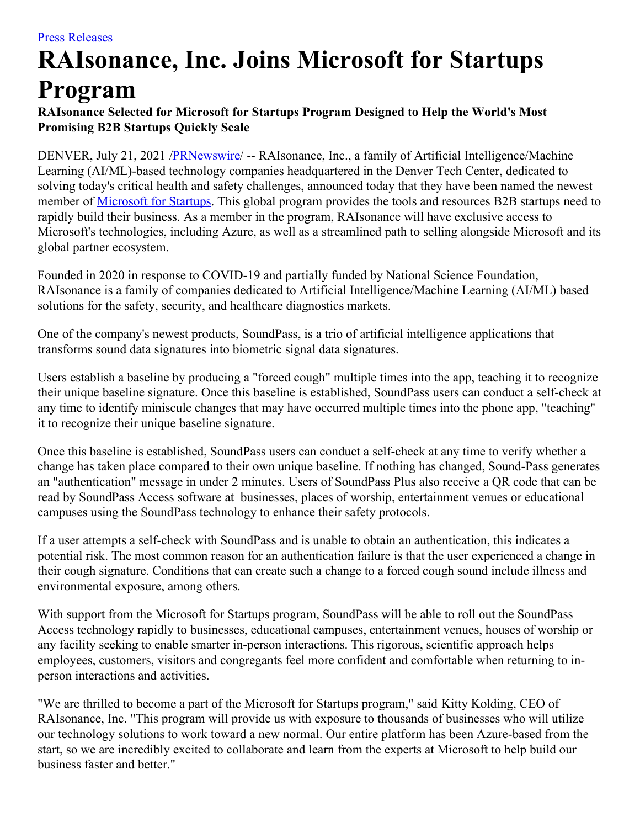## **RAIsonance, Inc. Joins Microsoft for Startups Program**

## **RAIsonance Selected for Microsoft for Startups Program Designed to Help the World's Most Promising B2B Startups Quickly Scale**

DENVER, July 21, 2021 [/PRNewswire](http://www.prnewswire.com/)/ -- RAIsonance, Inc., a family of Artificial Intelligence/Machine Learning (AI/ML)-based technology companies headquartered in the Denver Tech Center, dedicated to solving today's critical health and safety challenges, announced today that they have been named the newest member of [Microsoft](https://c212.net/c/link/?t=0&l=en&o=3234248-1&h=2016215660&u=https%3A%2F%2Fstartups.microsoft.com%2Fen-us%2F&a=Microsoft+for+Startups) for Startups. This global program provides the tools and resources B2B startups need to rapidly build their business. As a member in the program, RAIsonance will have exclusive access to Microsoft's technologies, including Azure, as well as a streamlined path to selling alongside Microsoft and its global partner ecosystem.

Founded in 2020 in response to COVID-19 and partially funded by National Science Foundation, RAIsonance is a family of companies dedicated to Artificial Intelligence/Machine Learning (AI/ML) based solutions for the safety, security, and healthcare diagnostics markets.

One of the company's newest products, SoundPass, is a trio of artificial intelligence applications that transforms sound data signatures into biometric signal data signatures.

Users establish a baseline by producing a "forced cough" multiple times into the app, teaching it to recognize their unique baseline signature. Once this baseline is established, SoundPass users can conduct a self-check at any time to identify miniscule changes that may have occurred multiple times into the phone app, "teaching" it to recognize their unique baseline signature.

Once this baseline is established, SoundPass users can conduct a self-check at any time to verify whether a change has taken place compared to their own unique baseline. If nothing has changed, Sound-Pass generates an "authentication" message in under 2 minutes. Users of SoundPass Plus also receive a QR code that can be read by SoundPass Access software at businesses, places of worship, entertainment venues or educational campuses using the SoundPass technology to enhance their safety protocols.

If a user attempts a self-check with SoundPass and is unable to obtain an authentication, this indicates a potential risk. The most common reason for an authentication failure is that the user experienced a change in their cough signature. Conditions that can create such a change to a forced cough sound include illness and environmental exposure, among others.

With support from the Microsoft for Startups program, SoundPass will be able to roll out the SoundPass Access technology rapidly to businesses, educational campuses, entertainment venues, houses of worship or any facility seeking to enable smarter in-person interactions. This rigorous, scientific approach helps employees, customers, visitors and congregants feel more confident and comfortable when returning to inperson interactions and activities.

"We are thrilled to become a part of the Microsoft for Startups program," said Kitty Kolding, CEO of RAIsonance, Inc. "This program will provide us with exposure to thousands of businesses who will utilize our technology solutions to work toward a new normal. Our entire platform has been Azure-based from the start, so we are incredibly excited to collaborate and learn from the experts at Microsoft to help build our business faster and better."